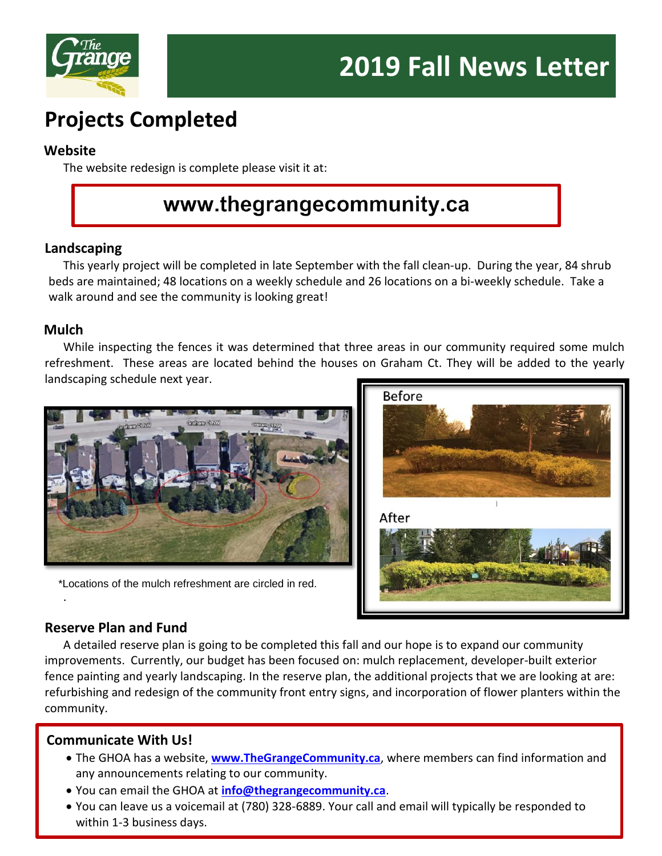

# **Projects Completed**

#### **Website**

The website redesign is complete please visit it at:

# www.thegrangecommunity.ca

## **Landscaping**

This yearly project will be completed in late September with the fall clean-up. During the year, 84 shrub beds are maintained; 48 locations on a weekly schedule and 26 locations on a bi-weekly schedule. Take a walk around and see the community is looking great!

## **Mulch**

While inspecting the fences it was determined that three areas in our community required some mulch refreshment. These areas are located behind the houses on Graham Ct. They will be added to the yearly landscaping schedule next year.



\*Locations of the mulch refreshment are circled in red.



# **Reserve Plan and Fund**

.

A detailed reserve plan is going to be completed this fall and our hope is to expand our community improvements. Currently, our budget has been focused on: mulch replacement, developer-built exterior fence painting and yearly landscaping. In the reserve plan, the additional projects that we are looking at are: refurbishing and redesign of the community front entry signs, and incorporation of flower planters within the community.

# **Communicate With Us!**

- The GHOA has a website, **[www.TheGrangeCommunity.ca](http://www.thegrangecommunity.ca/)**, where members can find information and any announcements relating to our community.
- You can email the GHOA at **[info@thegrangecommunity.ca](mailto:info@thegrangecommunity.ca)**.
- You can leave us a voicemail at (780) 328-6889. Your call and email will typically be responded to within 1-3 business days.